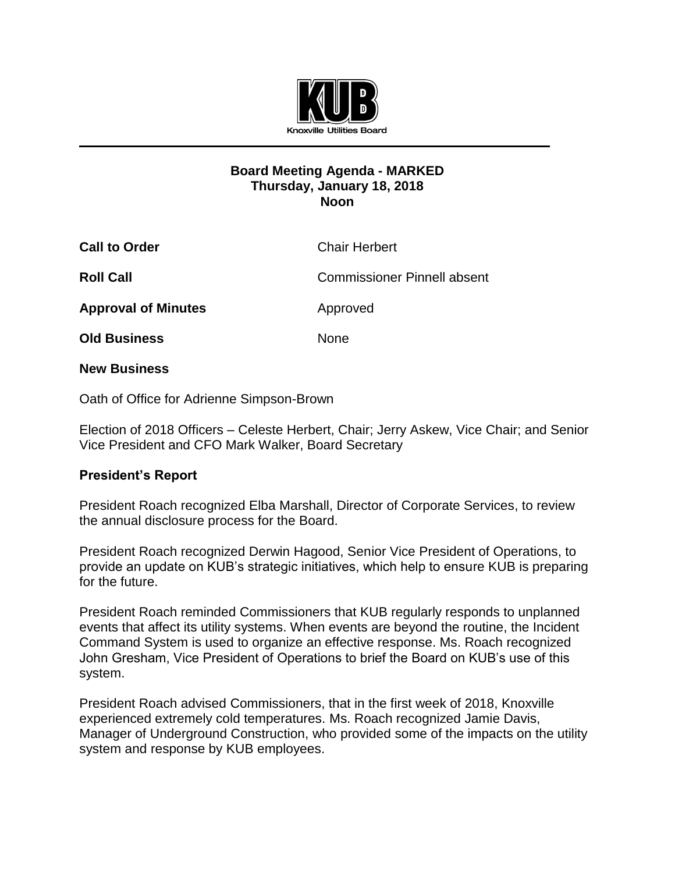

## **Board Meeting Agenda - MARKED Thursday, January 18, 2018 Noon**

| <b>Call to Order</b>       | <b>Chair Herbert</b>               |
|----------------------------|------------------------------------|
| <b>Roll Call</b>           | <b>Commissioner Pinnell absent</b> |
| <b>Approval of Minutes</b> | Approved                           |
| <b>Old Business</b>        | <b>None</b>                        |

**New Business**

Oath of Office for Adrienne Simpson-Brown

Election of 2018 Officers *–* Celeste Herbert, Chair; Jerry Askew, Vice Chair; and Senior Vice President and CFO Mark Walker, Board Secretary

## **President's Report**

President Roach recognized Elba Marshall, Director of Corporate Services, to review the annual disclosure process for the Board.

President Roach recognized Derwin Hagood, Senior Vice President of Operations, to provide an update on KUB's strategic initiatives, which help to ensure KUB is preparing for the future.

President Roach reminded Commissioners that KUB regularly responds to unplanned events that affect its utility systems. When events are beyond the routine, the Incident Command System is used to organize an effective response. Ms. Roach recognized John Gresham, Vice President of Operations to brief the Board on KUB's use of this system.

President Roach advised Commissioners, that in the first week of 2018, Knoxville experienced extremely cold temperatures. Ms. Roach recognized Jamie Davis, Manager of Underground Construction, who provided some of the impacts on the utility system and response by KUB employees.